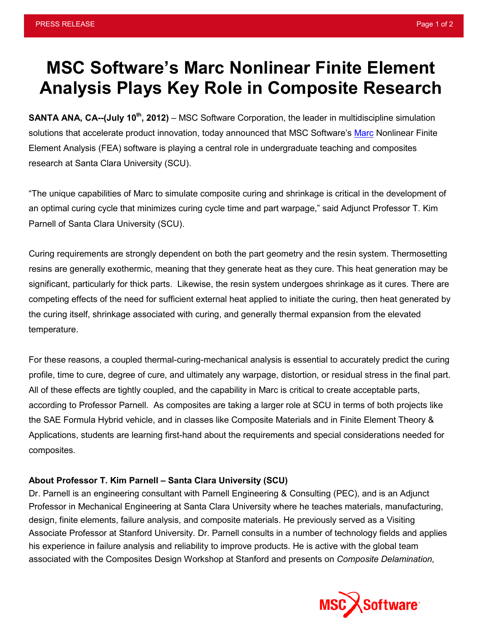## **MSC Software's Marc Nonlinear Finite Element Analysis Plays Key Role in Composite Research**

**SANTA ANA, CA--(July 10<sup>th</sup>, 2012)** – MSC Software Corporation, the leader in multidiscipline simulation solutions that accelerate product innovation, today announced that MSC Software's [Marc](http://www.mscsoftware.com/Products/CAE-Tools/Marc.aspx) Nonlinear Finite Element Analysis (FEA) software is playing a central role in undergraduate teaching and composites research at Santa Clara University (SCU).

"The unique capabilities of Marc to simulate composite curing and shrinkage is critical in the development of an optimal curing cycle that minimizes curing cycle time and part warpage," said Adjunct Professor T. Kim Parnell of Santa Clara University (SCU).

Curing requirements are strongly dependent on both the part geometry and the resin system. Thermosetting resins are generally exothermic, meaning that they generate heat as they cure. This heat generation may be significant, particularly for thick parts. Likewise, the resin system undergoes shrinkage as it cures. There are competing effects of the need for sufficient external heat applied to initiate the curing, then heat generated by the curing itself, shrinkage associated with curing, and generally thermal expansion from the elevated temperature.

For these reasons, a coupled thermal-curing-mechanical analysis is essential to accurately predict the curing profile, time to cure, degree of cure, and ultimately any warpage, distortion, or residual stress in the final part. All of these effects are tightly coupled, and the capability in Marc is critical to create acceptable parts, according to Professor Parnell. As composites are taking a larger role at SCU in terms of both projects like the SAE Formula Hybrid vehicle, and in classes like Composite Materials and in Finite Element Theory & Applications, students are learning first-hand about the requirements and special considerations needed for composites.

## **About Professor T. Kim Parnell – Santa Clara University (SCU)**

Dr. Parnell is an engineering consultant with Parnell Engineering & Consulting (PEC), and is an Adjunct Professor in Mechanical Engineering at Santa Clara University where he teaches materials, manufacturing, design, finite elements, failure analysis, and composite materials. He previously served as a Visiting Associate Professor at Stanford University. Dr. Parnell consults in a number of technology fields and applies his experience in failure analysis and reliability to improve products. He is active with the global team associated with the Composites Design Workshop at Stanford and presents on *Composite Delamination,*